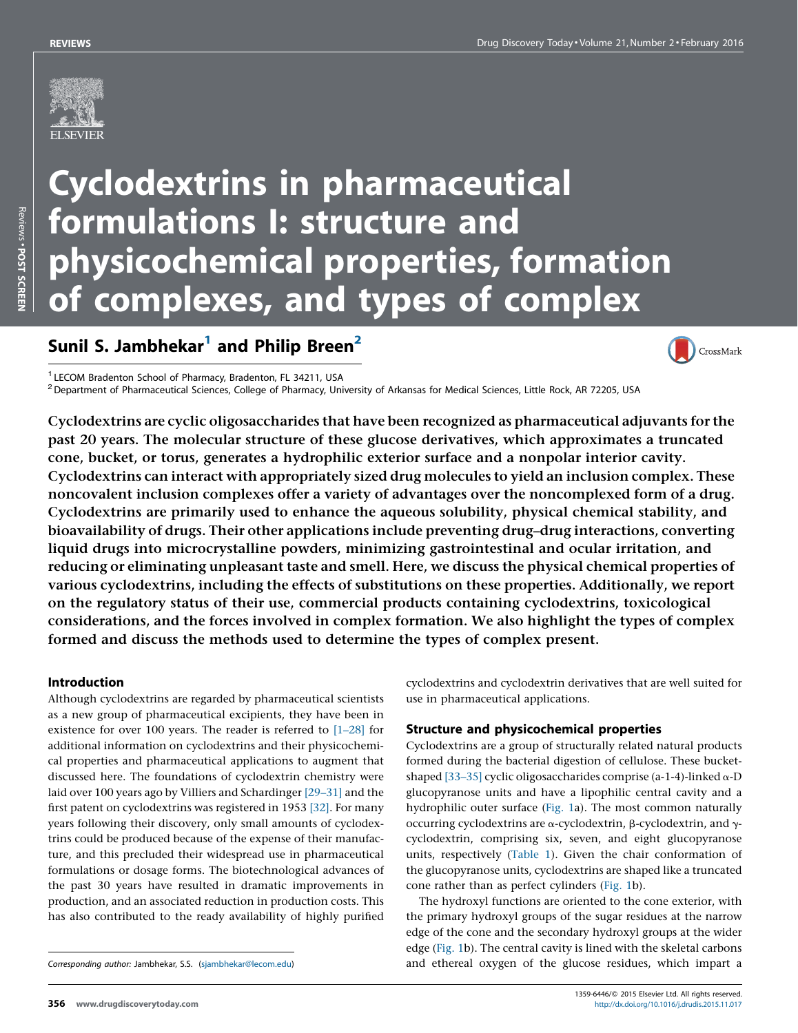

# Cyclodextrins in pharmaceutical formulations I: structure and physicochemical properties, formation of complexes, and types of complex

# Sunil S. Jambhekar $<sup>1</sup>$  and Philip Breen<sup>2</sup></sup>



 $^1$ LECOM Bradenton School of Pharmacy, Bradenton, FL 34211, USA<br><sup>2</sup> Department of Pharmaceutical Sciences, College of Pharmacy, University of Arkansas for Medical Sciences, Little Rock, AR 72205, USA

Cyclodextrins are cyclic oligosaccharides that have been recognized as pharmaceutical adjuvants for the past 20 years. The molecular structure of these glucose derivatives, which approximates a truncated cone, bucket, or torus, generates a hydrophilic exterior surface and a nonpolar interior cavity. Cyclodextrins can interact with appropriately sized drug molecules to yield an inclusion complex. These noncovalent inclusion complexes offer a variety of advantages over the noncomplexed form of a drug. Cyclodextrins are primarily used to enhance the aqueous solubility, physical chemical stability, and bioavailability of drugs. Their other applications include preventing drug–drug interactions, converting liquid drugs into microcrystalline powders, minimizing gastrointestinal and ocular irritation, and reducing or eliminating unpleasant taste and smell. Here, we discuss the physical chemical properties of various cyclodextrins, including the effects of substitutions on these properties. Additionally, we report on the regulatory status of their use, commercial products containing cyclodextrins, toxicological considerations, and the forces involved in complex formation. We also highlight the types of complex formed and discuss the methods used to determine the types of complex present.

# Introduction

Although cyclodextrins are regarded by pharmaceutical scientists as a new group of pharmaceutical excipients, they have been in existence for over 100 years. The reader is referred to [\[1–28\]](#page-5-0) for additional information on cyclodextrins and their physicochemical properties and pharmaceutical applications to augment that discussed here. The foundations of cyclodextrin chemistry were laid over 100 years ago by Villiers and Schardinger [\[29–31\]](#page-5-0) and the first patent on cyclodextrins was registered in 1953 [\[32\].](#page-5-0) For many years following their discovery, only small amounts of cyclodextrins could be produced because of the expense of their manufacture, and this precluded their widespread use in pharmaceutical formulations or dosage forms. The biotechnological advances of the past 30 years have resulted in dramatic improvements in production, and an associated reduction in production costs. This has also contributed to the ready availability of highly purified

cyclodextrins and cyclodextrin derivatives that are well suited for use in pharmaceutical applications.

#### Structure and physicochemical properties

Cyclodextrins are a group of structurally related natural products formed during the bacterial digestion of cellulose. These bucketshaped [33-35] cyclic oligosaccharides comprise (a-1-4)-linked  $\alpha$ -D glucopyranose units and have a lipophilic central cavity and a hydrophilic outer surface [\(Fig.](#page-1-0) 1a). The most common naturally occurring cyclodextrins are  $\alpha$ -cyclodextrin,  $\beta$ -cyclodextrin, and  $\gamma$ cyclodextrin, comprising six, seven, and eight glucopyranose units, respectively ([Table](#page-1-0) 1). Given the chair conformation of the glucopyranose units, cyclodextrins are shaped like a truncated cone rather than as perfect cylinders ([Fig.](#page-1-0) 1b).

The hydroxyl functions are oriented to the cone exterior, with the primary hydroxyl groups of the sugar residues at the narrow edge of the cone and the secondary hydroxyl groups at the wider edge [\(Fig.](#page-1-0) 1b). The central cavity is lined with the skeletal carbons and ethereal oxygen of the glucose residues, which impart a

Corresponding author: Jambhekar, S.S. ([sjambhekar@lecom.edu\)](mailto:sjambhekar@lecom.edu)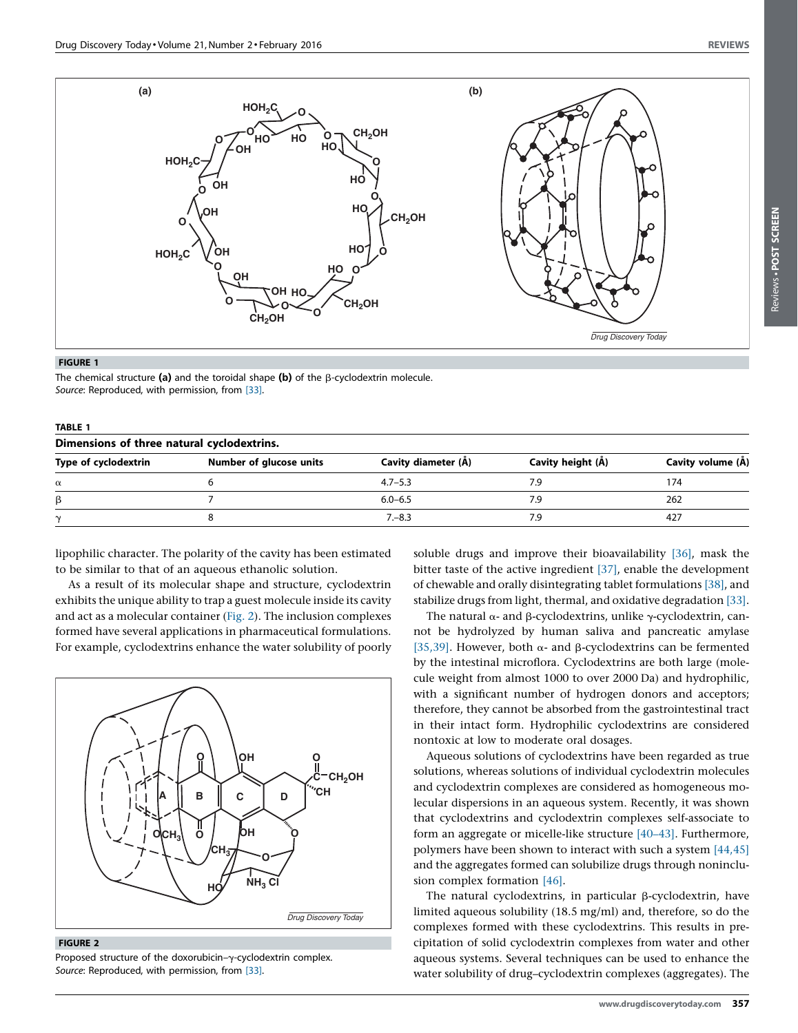<span id="page-1-0"></span>

#### FIGURE 1

The chemical structure (a) and the toroidal shape (b) of the  $\beta$ -cyclodextrin molecule. Source: Reproduced, with permission, from [\[33\]](#page-5-0).

| <b>TABLE 1</b><br>Dimensions of three natural cyclodextrins. |             |     |     |  |
|--------------------------------------------------------------|-------------|-----|-----|--|
|                                                              |             |     |     |  |
|                                                              | $4.7 - 5.3$ | 7.9 | 174 |  |
|                                                              | $6.0 - 6.5$ | 7.9 | 262 |  |
|                                                              | $7 - 8.3$   | 7.9 | 427 |  |
|                                                              |             |     |     |  |

lipophilic character. The polarity of the cavity has been estimated to be similar to that of an aqueous ethanolic solution.

As a result of its molecular shape and structure, cyclodextrin exhibits the unique ability to trap a guest molecule inside its cavity and act as a molecular container (Fig. 2). The inclusion complexes formed have several applications in pharmaceutical formulations. For example, cyclodextrins enhance the water solubility of poorly



#### FIGURE 2

Proposed structure of the doxorubicin- $\gamma$ -cyclodextrin complex. Source: Reproduced, with permission, from [\[33\]](#page-5-0).

soluble drugs and improve their bioavailability [\[36\]](#page-5-0), mask the bitter taste of the active ingredient [\[37\],](#page-5-0) enable the development of chewable and orally disintegrating tablet formulations [\[38\]](#page-6-0), and stabilize drugs from light, thermal, and oxidative degradation [\[33\].](#page-5-0)

The natural  $\alpha$ - and  $\beta$ -cyclodextrins, unlike  $\gamma$ -cyclodextrin, cannot be hydrolyzed by human saliva and pancreatic amylase [\[35,39\]](#page-5-0). However, both  $\alpha$ - and  $\beta$ -cyclodextrins can be fermented by the intestinal microflora. Cyclodextrins are both large (molecule weight from almost 1000 to over 2000 Da) and hydrophilic, with a significant number of hydrogen donors and acceptors; therefore, they cannot be absorbed from the gastrointestinal tract in their intact form. Hydrophilic cyclodextrins are considered nontoxic at low to moderate oral dosages.

Aqueous solutions of cyclodextrins have been regarded as true solutions, whereas solutions of individual cyclodextrin molecules and cyclodextrin complexes are considered as homogeneous molecular dispersions in an aqueous system. Recently, it was shown that cyclodextrins and cyclodextrin complexes self-associate to form an aggregate or micelle-like structure [\[40–43\]](#page-6-0). Furthermore, polymers have been shown to interact with such a system [\[44,45\]](#page-6-0) and the aggregates formed can solubilize drugs through noninclusion complex formation [\[46\].](#page-6-0)

The natural cyclodextrins, in particular  $\beta$ -cyclodextrin, have limited aqueous solubility (18.5 mg/ml) and, therefore, so do the complexes formed with these cyclodextrins. This results in precipitation of solid cyclodextrin complexes from water and other aqueous systems. Several techniques can be used to enhance the water solubility of drug–cyclodextrin complexes (aggregates). The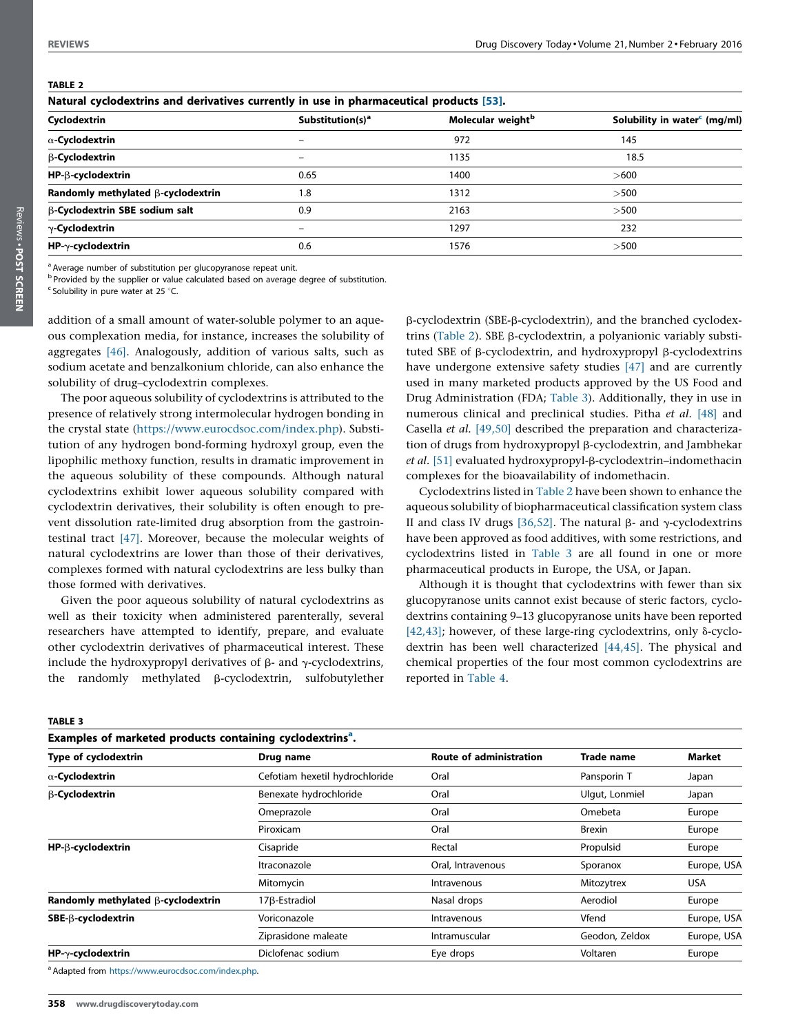<span id="page-2-0"></span>

| г<br>Е<br>u<br>Ľ. |  |  |
|-------------------|--|--|
| ۰.                |  |  |

Reviews . POST SCREEN

| Natural cyclodextrins and derivatives currently in use in pharmaceutical products [53]. |                              |                               |                                          |  |
|-----------------------------------------------------------------------------------------|------------------------------|-------------------------------|------------------------------------------|--|
| Cyclodextrin                                                                            | Substitution(s) <sup>a</sup> | Molecular weight <sup>b</sup> | Solubility in water <sup>c</sup> (mg/ml) |  |
| $\alpha$ -Cyclodextrin                                                                  | -                            | 972                           | 145                                      |  |
| β-Cyclodextrin                                                                          | $\overline{\phantom{0}}$     | 1135                          | 18.5                                     |  |
| HP-B-cyclodextrin                                                                       | 0.65                         | 1400                          | >600                                     |  |
| Randomly methylated B-cyclodextrin                                                      | 1.8                          | 1312                          | >500                                     |  |
| <b>B-Cyclodextrin SBE sodium salt</b>                                                   | 0.9                          | 2163                          | >500                                     |  |
| $\gamma$ -Cyclodextrin                                                                  | $\qquad \qquad$              | 1297                          | 232                                      |  |
| $HP-\gamma$ -cyclodextrin                                                               | 0.6                          | 1576                          | >500                                     |  |

<sup>a</sup> Average number of substitution per glucopyranose repeat unit.

b Provided by the supplier or value calculated based on average degree of substitution.

 $c$  Solubility in pure water at 25  $\degree$ C.

addition of a small amount of water-soluble polymer to an aqueous complexation media, for instance, increases the solubility of aggregates [\[46\]](#page-6-0). Analogously, addition of various salts, such as sodium acetate and benzalkonium chloride, can also enhance the solubility of drug–cyclodextrin complexes.

The poor aqueous solubility of cyclodextrins is attributed to the presence of relatively strong intermolecular hydrogen bonding in the crystal state (<https://www.eurocdsoc.com/index.php>). Substitution of any hydrogen bond-forming hydroxyl group, even the lipophilic methoxy function, results in dramatic improvement in the aqueous solubility of these compounds. Although natural cyclodextrins exhibit lower aqueous solubility compared with cyclodextrin derivatives, their solubility is often enough to prevent dissolution rate-limited drug absorption from the gastrointestinal tract [\[47\]](#page-6-0). Moreover, because the molecular weights of natural cyclodextrins are lower than those of their derivatives, complexes formed with natural cyclodextrins are less bulky than those formed with derivatives.

Given the poor aqueous solubility of natural cyclodextrins as well as their toxicity when administered parenterally, several researchers have attempted to identify, prepare, and evaluate other cyclodextrin derivatives of pharmaceutical interest. These include the hydroxypropyl derivatives of  $\beta$ - and  $\gamma$ -cyclodextrins, the randomly methylated  $\beta$ -cyclodextrin, sulfobutylether

b-cyclodextrin (SBE-b-cyclodextrin), and the branched cyclodextrins (Table 2). SBE  $\beta$ -cyclodextrin, a polyanionic variably substituted SBE of  $\beta$ -cyclodextrin, and hydroxypropyl  $\beta$ -cyclodextrins have undergone extensive safety studies [\[47\]](#page-6-0) and are currently used in many marketed products approved by the US Food and Drug Administration (FDA; Table 3). Additionally, they in use in numerous clinical and preclinical studies. Pitha et al. [\[48\]](#page-6-0) and Casella et al. [\[49,50\]](#page-6-0) described the preparation and characterization of drugs from hydroxypropyl β-cyclodextrin, and Jambhekar et al. [\[51\]](#page-6-0) evaluated hydroxypropyl-β-cyclodextrin-indomethacin complexes for the bioavailability of indomethacin.

Cyclodextrins listed in Table 2 have been shown to enhance the aqueous solubility of biopharmaceutical classification system class II and class IV drugs [\[36,52\].](#page-5-0) The natural  $\beta$ - and  $\gamma$ -cyclodextrins have been approved as food additives, with some restrictions, and cyclodextrins listed in Table 3 are all found in one or more pharmaceutical products in Europe, the USA, or Japan.

Although it is thought that cyclodextrins with fewer than six glucopyranose units cannot exist because of steric factors, cyclodextrins containing 9–13 glucopyranose units have been reported [\[42,43\]](#page-6-0); however, of these large-ring cyclodextrins, only  $\delta$ -cyclodextrin has been well characterized [\[44,45\]](#page-6-0). The physical and chemical properties of the four most common cyclodextrins are reported in [Table](#page-3-0) 4.

#### TABLE 3

| Examples of marketed products containing cyclodextrins <sup>a</sup> . |                                |                                |                |             |
|-----------------------------------------------------------------------|--------------------------------|--------------------------------|----------------|-------------|
| Type of cyclodextrin                                                  | Drug name                      | <b>Route of administration</b> | Trade name     | Market      |
| $\alpha$ -Cyclodextrin                                                | Cefotiam hexetil hydrochloride | Oral                           | Pansporin T    | Japan       |
| β-Cyclodextrin                                                        | Benexate hydrochloride         | Oral                           | Ulgut, Lonmiel | Japan       |
|                                                                       | Omeprazole                     | Oral                           | Omebeta        | Europe      |
|                                                                       | Piroxicam                      | Oral                           | <b>Brexin</b>  | Europe      |
| HP-B-cyclodextrin                                                     | Cisapride                      | Rectal                         | Propulsid      | Europe      |
|                                                                       | Itraconazole                   | Oral, Intravenous              | Sporanox       | Europe, USA |
|                                                                       | Mitomycin                      | <b>Intravenous</b>             | Mitozytrex     | <b>USA</b>  |
| Randomly methylated B-cyclodextrin                                    | 17 <sub>B</sub> -Estradiol     | Nasal drops                    | Aerodiol       | Europe      |
| SBE-B-cyclodextrin                                                    | Voriconazole                   | Intravenous                    | Vfend          | Europe, USA |
|                                                                       | Ziprasidone maleate            | Intramuscular                  | Geodon, Zeldox | Europe, USA |
| $HP-\gamma$ -cyclodextrin                                             | Diclofenac sodium              | Eye drops                      | Voltaren       | Europe      |
|                                                                       |                                |                                |                |             |

a Adapted from <https://www.eurocdsoc.com/index.php>.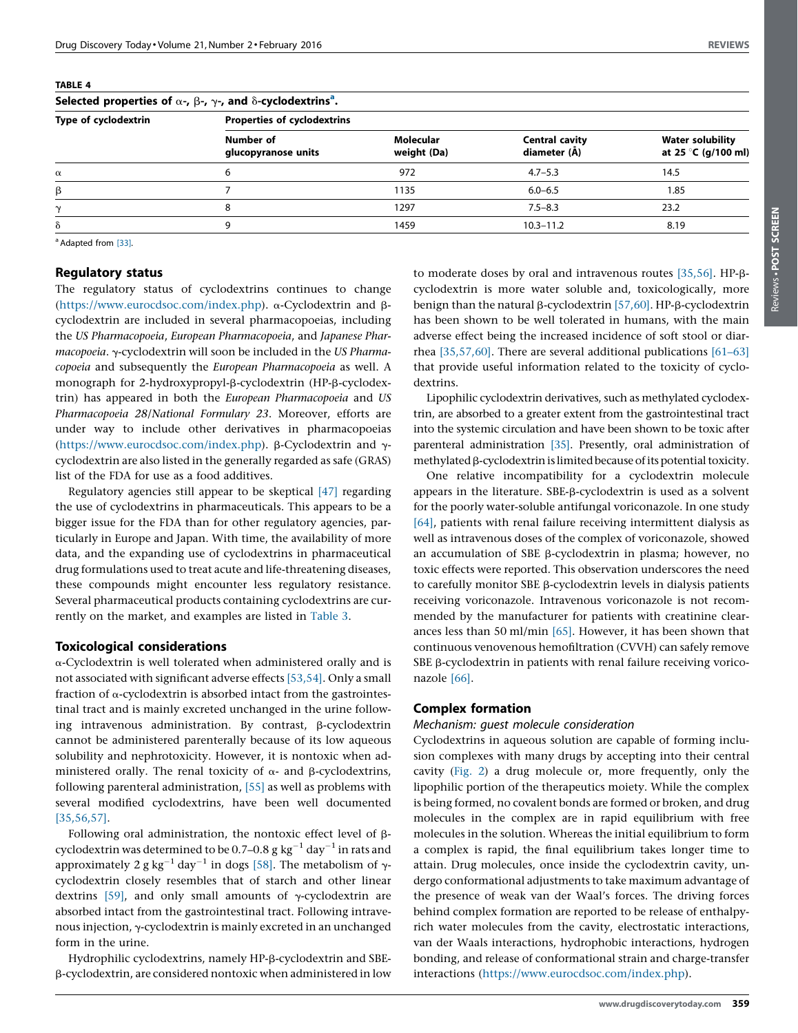<span id="page-3-0"></span>

| Selected properties of $\alpha$ -, $\beta$ -, $\gamma$ -, and $\delta$ -cyclodextrins <sup>a</sup> . |                                    |                          |                                       |                                                |  |
|------------------------------------------------------------------------------------------------------|------------------------------------|--------------------------|---------------------------------------|------------------------------------------------|--|
| Type of cyclodextrin                                                                                 | <b>Properties of cyclodextrins</b> |                          |                                       |                                                |  |
|                                                                                                      | Number of<br>glucopyranose units   | Molecular<br>weight (Da) | <b>Central cavity</b><br>diameter (Å) | <b>Water solubility</b><br>at 25 °C (g/100 ml) |  |
| $\alpha$                                                                                             | 6                                  | 972                      | $4.7 - 5.3$                           | 14.5                                           |  |
| β                                                                                                    |                                    | 1135                     | $6.0 - 6.5$                           | 1.85                                           |  |
| $\mathsf{\sim}$                                                                                      | 8                                  | 1297                     | $7.5 - 8.3$                           | 23.2                                           |  |
| δ                                                                                                    | q                                  | 1459                     | $10.3 - 11.2$                         | 8.19                                           |  |
|                                                                                                      |                                    |                          |                                       |                                                |  |

<sup>a</sup> Adapted from [\[33\].](#page-5-0)

# Regulatory status

The regulatory status of cyclodextrins continues to change ([https://www.eurocdsoc.com/index.php\)](https://www.eurocdsoc.com/index.php). a-Cyclodextrin and bcyclodextrin are included in several pharmacopoeias, including the US Pharmacopoeia, European Pharmacopoeia, and Japanese Pharmacopoeia. y-cyclodextrin will soon be included in the US Pharmacopoeia and subsequently the European Pharmacopoeia as well. A monograph for 2-hydroxypropyl- $\beta$ -cyclodextrin (HP- $\beta$ -cyclodextrin) has appeared in both the European Pharmacopoeia and US Pharmacopoeia 28/National Formulary 23. Moreover, efforts are under way to include other derivatives in pharmacopoeias ([https://www.eurocdsoc.com/index.php\)](https://www.eurocdsoc.com/index.php).  $\beta$ -Cyclodextrin and  $\gamma$ cyclodextrin are also listed in the generally regarded as safe (GRAS) list of the FDA for use as a food additives.

Regulatory agencies still appear to be skeptical [\[47\]](#page-6-0) regarding the use of cyclodextrins in pharmaceuticals. This appears to be a bigger issue for the FDA than for other regulatory agencies, particularly in Europe and Japan. With time, the availability of more data, and the expanding use of cyclodextrins in pharmaceutical drug formulations used to treat acute and life-threatening diseases, these compounds might encounter less regulatory resistance. Several pharmaceutical products containing cyclodextrins are currently on the market, and examples are listed in [Table](#page-2-0) 3.

#### Toxicological considerations

a-Cyclodextrin is well tolerated when administered orally and is not associated with significant adverse effects [\[53,54\].](#page-6-0) Only a small fraction of  $\alpha$ -cyclodextrin is absorbed intact from the gastrointestinal tract and is mainly excreted unchanged in the urine following intravenous administration. By contrast, β-cyclodextrin cannot be administered parenterally because of its low aqueous solubility and nephrotoxicity. However, it is nontoxic when administered orally. The renal toxicity of  $\alpha$ - and  $\beta$ -cyclodextrins, following parenteral administration, [\[55\]](#page-6-0) as well as problems with several modified cyclodextrins, have been well documented [\[35,56,57\]](#page-5-0).

Following oral administration, the nontoxic effect level of  $\beta$ cyclodextrin was determined to be 0.7–0.8 g kg<sup>-1</sup> day<sup>-1</sup> in rats and approximately 2 g kg<sup>-1</sup> day<sup>-1</sup> in dogs [\[58\]](#page-6-0). The metabolism of  $\gamma$ cyclodextrin closely resembles that of starch and other linear dextrins [\[59\]](#page-6-0), and only small amounts of  $\gamma$ -cyclodextrin are absorbed intact from the gastrointestinal tract. Following intravenous injection,  $\gamma$ -cyclodextrin is mainly excreted in an unchanged form in the urine.

Hydrophilic cyclodextrins, namely HP- $\beta$ -cyclodextrin and SBEb-cyclodextrin, are considered nontoxic when administered in low

to moderate doses by oral and intravenous routes [\[35,56\]](#page-5-0). HP-bcyclodextrin is more water soluble and, toxicologically, more benign than the natural  $\beta$ -cyclodextrin [\[57,60\]](#page-6-0). HP- $\beta$ -cyclodextrin has been shown to be well tolerated in humans, with the main adverse effect being the increased incidence of soft stool or diarrhea [\[35,57,60\]](#page-5-0). There are several additional publications [\[61–63\]](#page-6-0) that provide useful information related to the toxicity of cyclodextrins.

Lipophilic cyclodextrin derivatives, such as methylated cyclodextrin, are absorbed to a greater extent from the gastrointestinal tract into the systemic circulation and have been shown to be toxic after parenteral administration [\[35\].](#page-5-0) Presently, oral administration of  $m$ ethylated  $\beta$ -cyclodextrin is limited because of its potential toxicity.

One relative incompatibility for a cyclodextrin molecule appears in the literature. SBE-ß-cyclodextrin is used as a solvent for the poorly water-soluble antifungal voriconazole. In one study [\[64\],](#page-6-0) patients with renal failure receiving intermittent dialysis as well as intravenous doses of the complex of voriconazole, showed an accumulation of SBE  $\beta$ -cyclodextrin in plasma; however, no toxic effects were reported. This observation underscores the need to carefully monitor SBE β-cyclodextrin levels in dialysis patients receiving voriconazole. Intravenous voriconazole is not recommended by the manufacturer for patients with creatinine clearances less than 50 ml/min [\[65\]](#page-6-0). However, it has been shown that continuous venovenous hemofiltration (CVVH) can safely remove SBE  $\beta$ -cyclodextrin in patients with renal failure receiving voriconazole [\[66\]](#page-6-0).

### Complex formation

#### Mechanism: guest molecule consideration

Cyclodextrins in aqueous solution are capable of forming inclusion complexes with many drugs by accepting into their central cavity ([Fig.](#page-1-0) 2) a drug molecule or, more frequently, only the lipophilic portion of the therapeutics moiety. While the complex is being formed, no covalent bonds are formed or broken, and drug molecules in the complex are in rapid equilibrium with free molecules in the solution. Whereas the initial equilibrium to form a complex is rapid, the final equilibrium takes longer time to attain. Drug molecules, once inside the cyclodextrin cavity, undergo conformational adjustments to take maximum advantage of the presence of weak van der Waal's forces. The driving forces behind complex formation are reported to be release of enthalpyrich water molecules from the cavity, electrostatic interactions, van der Waals interactions, hydrophobic interactions, hydrogen bonding, and release of conformational strain and charge-transfer interactions [\(https://www.eurocdsoc.com/index.php\)](https://www.eurocdsoc.com/index.php).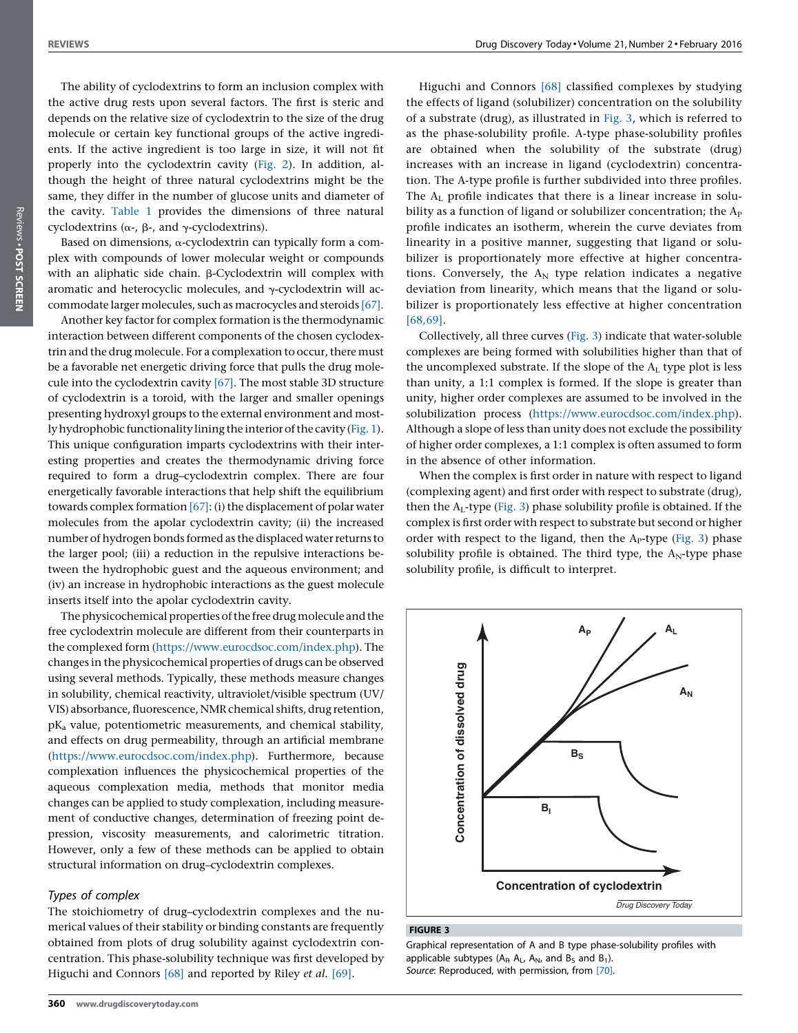The ability of cyclodextrins to form an inclusion complex with the active drug rests upon several factors. The first is steric and depends on the relative size of cyclodextrin to the size of the drug molecule or certain key functional groups of the active ingredients. If the active ingredient is too large in size, it will not fit properly into the cyclodextrin cavity [\(Fig.](#page-1-0) 2). In addition, although the height of three natural cyclodextrins might be the same, they differ in the number of glucose units and diameter of the cavity. [Table](#page-1-0) 1 provides the dimensions of three natural cyclodextrins ( $\alpha$ -,  $\beta$ -, and  $\gamma$ -cyclodextrins).

Based on dimensions, a-cyclodextrin can typically form a complex with compounds of lower molecular weight or compounds with an aliphatic side chain.  $\beta$ -Cyclodextrin will complex with aromatic and heterocyclic molecules, and  $\gamma$ -cyclodextrin will accommodate larger molecules, such as macrocycles and steroids [\[67\]](#page-6-0).

Another key factor for complex formation is the thermodynamic interaction between different components of the chosen cyclodextrin and the drug molecule. For a complexation to occur, there must be a favorable net energetic driving force that pulls the drug molecule into the cyclodextrin cavity [\[67\]](#page-6-0). The most stable 3D structure of cyclodextrin is a toroid, with the larger and smaller openings presenting hydroxyl groups to the external environment and most-ly hydrophobic functionality lining the interior of the cavity [\(Fig.](#page-1-0) 1). This unique configuration imparts cyclodextrins with their interesting properties and creates the thermodynamic driving force required to form a drug–cyclodextrin complex. There are four energetically favorable interactions that help shift the equilibrium towards complex formation  $[67]$ : (i) the displacement of polar water molecules from the apolar cyclodextrin cavity; (ii) the increased number of hydrogen bonds formed as the displaced water returns to the larger pool; (iii) a reduction in the repulsive interactions between the hydrophobic guest and the aqueous environment; and (iv) an increase in hydrophobic interactions as the guest molecule inserts itself into the apolar cyclodextrin cavity.

The physicochemical properties of the free drug molecule and the free cyclodextrin molecule are different from their counterparts in the complexed form ([https://www.eurocdsoc.com/index.php\)](https://www.eurocdsoc.com/index.php). The changes in the physicochemical properties of drugs can be observed using several methods. Typically, these methods measure changes in solubility, chemical reactivity, ultraviolet/visible spectrum (UV/ VIS) absorbance, fluorescence,NMR chemical shifts, drug retention, pKa value, potentiometric measurements, and chemical stability, and effects on drug permeability, through an artificial membrane ([https://www.eurocdsoc.com/index.php\)](https://www.eurocdsoc.com/index.php). Furthermore, because complexation influences the physicochemical properties of the aqueous complexation media, methods that monitor media changes can be applied to study complexation, including measurement of conductive changes, determination of freezing point depression, viscosity measurements, and calorimetric titration. However, only a few of these methods can be applied to obtain structural information on drug–cyclodextrin complexes.

# Types of complex

The stoichiometry of drug–cyclodextrin complexes and the numerical values of their stability or binding constants are frequently obtained from plots of drug solubility against cyclodextrin concentration. This phase-solubility technique was first developed by Higuchi and Connors [\[68\]](#page-6-0) and reported by Riley et al. [\[69\]](#page-6-0).

Higuchi and Connors [\[68\]](#page-6-0) classified complexes by studying the effects of ligand (solubilizer) concentration on the solubility of a substrate (drug), as illustrated in Fig. 3, which is referred to as the phase-solubility profile. A-type phase-solubility profiles are obtained when the solubility of the substrate (drug) increases with an increase in ligand (cyclodextrin) concentration. The A-type profile is further subdivided into three profiles. The  $A_L$  profile indicates that there is a linear increase in solubility as a function of ligand or solubilizer concentration; the  $A_P$ profile indicates an isotherm, wherein the curve deviates from linearity in a positive manner, suggesting that ligand or solubilizer is proportionately more effective at higher concentrations. Conversely, the  $A_N$  type relation indicates a negative deviation from linearity, which means that the ligand or solubilizer is proportionately less effective at higher concentration [\[68,69\]](#page-6-0).

Collectively, all three curves (Fig. 3) indicate that water-soluble complexes are being formed with solubilities higher than that of the uncomplexed substrate. If the slope of the  $A_L$  type plot is less than unity, a 1:1 complex is formed. If the slope is greater than unity, higher order complexes are assumed to be involved in the solubilization process [\(https://www.eurocdsoc.com/index.php](https://www.eurocdsoc.com/index.php)). Although a slope of less than unity does not exclude the possibility of higher order complexes, a 1:1 complex is often assumed to form in the absence of other information.

When the complex is first order in nature with respect to ligand (complexing agent) and first order with respect to substrate (drug), then the  $A_L$ -type (Fig. 3) phase solubility profile is obtained. If the complex is first order with respect to substrate but second or higher order with respect to the ligand, then the  $A<sub>P</sub>$ -type (Fig. 3) phase solubility profile is obtained. The third type, the  $A_N$ -type phase solubility profile, is difficult to interpret.



#### FIGURE 3

Graphical representation of A and B type phase-solubility profiles with applicable subtypes ( $A_P$ ,  $A_L$ ,  $A_N$ , and  $B_S$  and  $B_1$ ). Source: Reproduced, with permission, from [\[70\]](#page-6-0).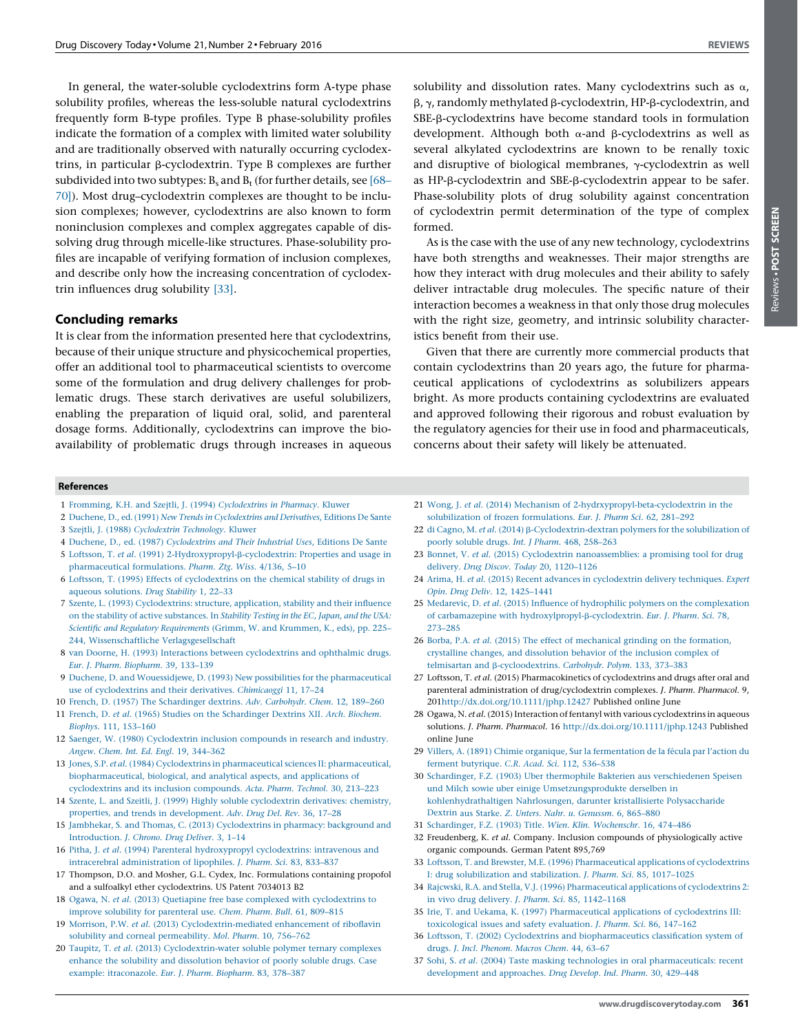Reviews -

Reviews . POST SCREEN POST SCREEN

<span id="page-5-0"></span>In general, the water-soluble cyclodextrins form A-type phase solubility profiles, whereas the less-soluble natural cyclodextrins frequently form B-type profiles. Type B phase-solubility profiles indicate the formation of a complex with limited water solubility and are traditionally observed with naturally occurring cyclodextrins, in particular b-cyclodextrin. Type B complexes are further subdivided into two subtypes:  $B_s$  and  $B_t$  (for further details, see [\[68–](#page-6-0) [70\]](#page-6-0)). Most drug–cyclodextrin complexes are thought to be inclusion complexes; however, cyclodextrins are also known to form noninclusion complexes and complex aggregates capable of dissolving drug through micelle-like structures. Phase-solubility profiles are incapable of verifying formation of inclusion complexes, and describe only how the increasing concentration of cyclodextrin influences drug solubility [33].

### Concluding remarks

It is clear from the information presented here that cyclodextrins, because of their unique structure and physicochemical properties, offer an additional tool to pharmaceutical scientists to overcome some of the formulation and drug delivery challenges for problematic drugs. These starch derivatives are useful solubilizers, enabling the preparation of liquid oral, solid, and parenteral dosage forms. Additionally, cyclodextrins can improve the bioavailability of problematic drugs through increases in aqueous

solubility and dissolution rates. Many cyclodextrins such as  $\alpha$ ,  $\beta$ ,  $\gamma$ , randomly methylated  $\beta$ -cyclodextrin, HP- $\beta$ -cyclodextrin, and SBE-b-cyclodextrins have become standard tools in formulation development. Although both  $\alpha$ -and  $\beta$ -cyclodextrins as well as several alkylated cyclodextrins are known to be renally toxic and disruptive of biological membranes,  $\gamma$ -cyclodextrin as well as HP-b-cyclodextrin and SBE-b-cyclodextrin appear to be safer. Phase-solubility plots of drug solubility against concentration of cyclodextrin permit determination of the type of complex formed.

As is the case with the use of any new technology, cyclodextrins have both strengths and weaknesses. Their major strengths are how they interact with drug molecules and their ability to safely deliver intractable drug molecules. The specific nature of their interaction becomes a weakness in that only those drug molecules with the right size, geometry, and intrinsic solubility characteristics benefit from their use.

Given that there are currently more commercial products that contain cyclodextrins than 20 years ago, the future for pharmaceutical applications of cyclodextrins as solubilizers appears bright. As more products containing cyclodextrins are evaluated and approved following their rigorous and robust evaluation by the regulatory agencies for their use in food and pharmaceuticals, concerns about their safety will likely be attenuated.

#### References

- 1 Fromming, K.H. and Szejtli, J. (1994) [Cyclodextrins](http://refhub.elsevier.com/S1359-6446(15)00452-3/sbref0355) in Pharmacy. Kluwer
- 2 [Duchene,](http://refhub.elsevier.com/S1359-6446(15)00452-3/sbref0360) D., ed. (1991) New Trends in [Cyclodextrins](http://refhub.elsevier.com/S1359-6446(15)00452-3/sbref0360) and Derivatives, Editions De Sante
- 3 Szejtli, J. (1988) [Cyclodextrin](http://refhub.elsevier.com/S1359-6446(15)00452-3/sbref0365) Technology. Kluwer
- 4 [Duchene,](http://refhub.elsevier.com/S1359-6446(15)00452-3/sbref0370) D., ed. (1987) [Cyclodextrins](http://refhub.elsevier.com/S1359-6446(15)00452-3/sbref0370) and Their Industrial Uses, Editions De Sante
- 5 Loftsson, T. et al. (1991) [2-Hydroxypropyl-](http://refhub.elsevier.com/S1359-6446(15)00452-3/sbref0375) $\beta$ -cyclodextrin: Properties and usage in [pharmaceutical](http://refhub.elsevier.com/S1359-6446(15)00452-3/sbref0375) formulations. Pharm. Ztg. Wiss. 4/136, 5–10
- 6 Loftsson, T. (1995) Effects of [cyclodextrins](http://refhub.elsevier.com/S1359-6446(15)00452-3/sbref0380) on the chemical stability of drugs in aqueous [solutions.](http://refhub.elsevier.com/S1359-6446(15)00452-3/sbref0380) Drug Stability 1, 22–33
- 7 Szente, L. (1993) [Cyclodextrins:](http://refhub.elsevier.com/S1359-6446(15)00452-3/sbref0385) structure, application, stability and their influence on the stability of active [substances.](http://refhub.elsevier.com/S1359-6446(15)00452-3/sbref0385) In Stability Testing in the EC, Japan, and the USA: Scientific and Regulatory [Requirements](http://refhub.elsevier.com/S1359-6446(15)00452-3/sbref0385) (Grimm, W. and [Krummen,](http://refhub.elsevier.com/S1359-6446(15)00452-3/sbref0385) K., eds), pp. [225–](http://refhub.elsevier.com/S1359-6446(15)00452-3/sbref0385) 244, Wissenschaftliche [Verlagsgesellschaft](http://refhub.elsevier.com/S1359-6446(15)00452-3/sbref0385)
- 8 van Doorne, H. (1993) Interactions between [cyclodextrins](http://refhub.elsevier.com/S1359-6446(15)00452-3/sbref0390) and ophthalmic drugs. Eur. J. Pharm. [Biopharm.](http://refhub.elsevier.com/S1359-6446(15)00452-3/sbref0390) 39, 133–139
- 9 Duchene, D. and Wouessidjewe, D. (1993) New possibilities for the [pharmaceutical](http://refhub.elsevier.com/S1359-6446(15)00452-3/sbref0395) use of [cyclodextrins](http://refhub.elsevier.com/S1359-6446(15)00452-3/sbref0395) and their derivatives. Chimicaoggi 11, 17–24
- 10 French, D. (1957) The [Schardinger](http://refhub.elsevier.com/S1359-6446(15)00452-3/sbref0400) dextrins. Adv. Carbohydr. Chem. 12, 189–260
- 11 French, D. et al. (1965) Studies on the [Schardinger](http://refhub.elsevier.com/S1359-6446(15)00452-3/sbref0405) Dextrins XII. Arch. Biochem. Biophys. 111, [153–160](http://refhub.elsevier.com/S1359-6446(15)00452-3/sbref0405)
- 12 Saenger, W. (1980) [Cyclodextrin](http://refhub.elsevier.com/S1359-6446(15)00452-3/sbref0410) inclusion compounds in research and industry. Angew. Chem. Int. Ed. Engl. 19, [344–362](http://refhub.elsevier.com/S1359-6446(15)00452-3/sbref0410)
- 13 Jones, S.P. et al. (1984) Cyclodextrins in pharmaceutical sciences II: [pharmaceutical,](http://refhub.elsevier.com/S1359-6446(15)00452-3/sbref0415) [biopharmaceutical,](http://refhub.elsevier.com/S1359-6446(15)00452-3/sbref0415) biological, and analytical aspects, and applications of [cyclodextrins](http://refhub.elsevier.com/S1359-6446(15)00452-3/sbref0415) and its inclusion compounds. Acta. Pharm. Technol. 30, 213–223
- 14 Szente, L. and Szeitli, J. (1999) Highly soluble [cyclodextrin](http://refhub.elsevier.com/S1359-6446(15)00452-3/sbref0420) derivatives: chemistry, properties, and trends in [development.](http://refhub.elsevier.com/S1359-6446(15)00452-3/sbref0420) Adv. Drug Del. Rev. 36, 17–28
- 15 Jambhekar, S. and Thomas, C. (2013) [Cyclodextrins](http://refhub.elsevier.com/S1359-6446(15)00452-3/sbref0425) in pharmacy: background and [Introduction.](http://refhub.elsevier.com/S1359-6446(15)00452-3/sbref0425) J. Chrono. Drug Deliver. 3, 1–14
- 16 Pitha, J. et al. (1994) Parenteral [hydroxypropyl](http://refhub.elsevier.com/S1359-6446(15)00452-3/sbref0430) cyclodextrins: intravenous and intracerebral [administration](http://refhub.elsevier.com/S1359-6446(15)00452-3/sbref0430) of lipophiles. J. Pharm. Sci. 83, 833–837
- 17 Thompson, D.O. and Mosher, G.L. Cydex, Inc. Formulations containing propofol and a sulfoalkyl ether cyclodextrins. US Patent 7034013 B2
- 18 Ogawa, N. et al. (2013) Quetiapine free base complexed with [cyclodextrins](http://refhub.elsevier.com/S1359-6446(15)00452-3/sbref0440) to improve solubility for [parenteral](http://refhub.elsevier.com/S1359-6446(15)00452-3/sbref0440) use. Chem. Pharm. Bull. 61, 809–815
- 19 Morrison, P.W. et al. (2013) [Cyclodextrin-mediated](http://refhub.elsevier.com/S1359-6446(15)00452-3/sbref0445) enhancement of riboflavin solubility and corneal [permeability.](http://refhub.elsevier.com/S1359-6446(15)00452-3/sbref0445) Mol. Pharm. 10, 756–762
- 20 Taupitz, T. et al. (2013) [Cyclodextrin-water](http://refhub.elsevier.com/S1359-6446(15)00452-3/sbref0450) soluble polymer ternary complexes enhance the solubility and [dissolution](http://refhub.elsevier.com/S1359-6446(15)00452-3/sbref0450) behavior of poorly soluble drugs. Case example: [itraconazole.](http://refhub.elsevier.com/S1359-6446(15)00452-3/sbref0450) Eur. J. Pharm. Biopharm. 83, 378–387
- 21 Wong, J. et al. (2014) Mechanism of [2-hydrxypropyl-beta-cyclodextrin](http://refhub.elsevier.com/S1359-6446(15)00452-3/sbref0455) in the [solubilization](http://refhub.elsevier.com/S1359-6446(15)00452-3/sbref0455) of frozen formulations. Eur. J. Pharm Sci. 62, 281–292
- 22 di Cagno, M. et al. (2014) β[-Cyclodextrin-dextran](http://refhub.elsevier.com/S1359-6446(15)00452-3/sbref0460) polymers for the solubilization of poorly soluble drugs. Int. J Pharm. 468, [258–263](http://refhub.elsevier.com/S1359-6446(15)00452-3/sbref0460)
- 23 Bonnet, V. et al. (2015) Cyclodextrin [nanoassemblies:](http://refhub.elsevier.com/S1359-6446(15)00452-3/sbref0465) a promising tool for drug delivery. Drug Discov. Today 20, [1120–1126](http://refhub.elsevier.com/S1359-6446(15)00452-3/sbref0465)
- 24 Arima, H. et al. (2015) Recent advances in [cyclodextrin](http://refhub.elsevier.com/S1359-6446(15)00452-3/sbref0470) delivery techniques. Expert Opin. Drug Deliv. 12, [1425–1441](http://refhub.elsevier.com/S1359-6446(15)00452-3/sbref0470)
- 25 Medarevic, D. et al. (2015) Influence of hydrophilic polymers on the [complexation](http://refhub.elsevier.com/S1359-6446(15)00452-3/sbref0475) of carbamazepine with [hydroxylpropyl-](http://refhub.elsevier.com/S1359-6446(15)00452-3/sbref0475) $\beta$ -cyclodextrin. Eur. J. Pharm. Sci. 78, [273–285](http://refhub.elsevier.com/S1359-6446(15)00452-3/sbref0475)
- 26 Borba, P.A. et al. (2015) The effect of [mechanical](http://refhub.elsevier.com/S1359-6446(15)00452-3/sbref0480) grinding on the formation, crystalline changes, and [dissolution](http://refhub.elsevier.com/S1359-6446(15)00452-3/sbref0480) behavior of the inclusion complex of telmisartan and b[-cycloodextrins.](http://refhub.elsevier.com/S1359-6446(15)00452-3/sbref0480) Carbohydr. Polym. 133, 373–383
- 27 Loftsson, T. et al. (2015) Pharmacokinetics of cyclodextrins and drugs after oral and parenteral administration of drug/cyclodextrin complexes. J. Pharm. Pharmacol. 9, 20[1http://dx.doi.org/10.1111/jphp.12427](http://dx.doi.org/10.1111/jphp.12427) Published online June
- 28 Ogawa, N. et al. (2015) Interaction of fentanyl with various cyclodextrins in aqueous solutions. J. Pharm. Pharmacol. 16 <http://dx.doi.org/10.1111/jphp.1243> Published online June
- 29 Villers, A. (1891) Chimie organique, Sur la [fermentation](http://refhub.elsevier.com/S1359-6446(15)00452-3/sbref0495) de la fécula par l'action du ferment [butyrique.](http://refhub.elsevier.com/S1359-6446(15)00452-3/sbref0495) C.R. Acad. Sci. 112, 536–538
- 30 Schardinger, F.Z. (1903) Uber thermophile Bakterien aus [verschiedenen](http://refhub.elsevier.com/S1359-6446(15)00452-3/sbref0500) Speisen und Milch sowie uber einige [Umsetzungsprodukte](http://refhub.elsevier.com/S1359-6446(15)00452-3/sbref0500) derselben in [kohlenhydrathaltigen](http://refhub.elsevier.com/S1359-6446(15)00452-3/sbref0500) Nahrlosungen, darunter kristallisierte Polysaccharide Dextrin aus Starke. Z. Unters. Nahr. u. [Genussm.](http://refhub.elsevier.com/S1359-6446(15)00452-3/sbref0500) 6, 865–880
- 31 [Schardinger,](http://refhub.elsevier.com/S1359-6446(15)00452-3/sbref0505) F.Z. (1903) Title. Wien. Klin. Wochenschr. 16, 474–486
- 32 Freudenberg, K. et al. Company. Inclusion compounds of physiologically active organic compounds. German Patent 895,769
- 33 Loftsson, T. and Brewster, M.E. (1996) [Pharmaceutical](http://refhub.elsevier.com/S1359-6446(15)00452-3/sbref0515) applications of cyclodextrins I: drug [solubilization](http://refhub.elsevier.com/S1359-6446(15)00452-3/sbref0515) and stabilization. J. Pharm. Sci. 85, 1017–1025
- 34 Rajcwski, R.A. and Stella, V.J. (1996) [Pharmaceutical](http://refhub.elsevier.com/S1359-6446(15)00452-3/sbref0520) applications of cyclodextrins 2: in vivo drug delivery. J. Pharm. Sci. 85, [1142–1168](http://refhub.elsevier.com/S1359-6446(15)00452-3/sbref0520)
- 35 Irie, T. and Uekama, K. (1997) [Pharmaceutical](http://refhub.elsevier.com/S1359-6446(15)00452-3/sbref0525) applications of cyclodextrins III: [toxicological](http://refhub.elsevier.com/S1359-6446(15)00452-3/sbref0525) issues and safety evaluation. J. Pharm. Sci. 86, 147–162
- 36 Loftsson, T. (2002) Cyclodextrins and [biopharmaceutics](http://refhub.elsevier.com/S1359-6446(15)00452-3/sbref0530) classification system of drugs. J. Incl. [Phenom.](http://refhub.elsevier.com/S1359-6446(15)00452-3/sbref0530) Macros Chem. 44, 63–67
- 37 Sohi, S. et al. (2004) Taste masking technologies in oral [pharmaceuticals:](http://refhub.elsevier.com/S1359-6446(15)00452-3/sbref0535) recent [development](http://refhub.elsevier.com/S1359-6446(15)00452-3/sbref0535) and approaches. Drug Develop. Ind. Pharm. 30, 429–448